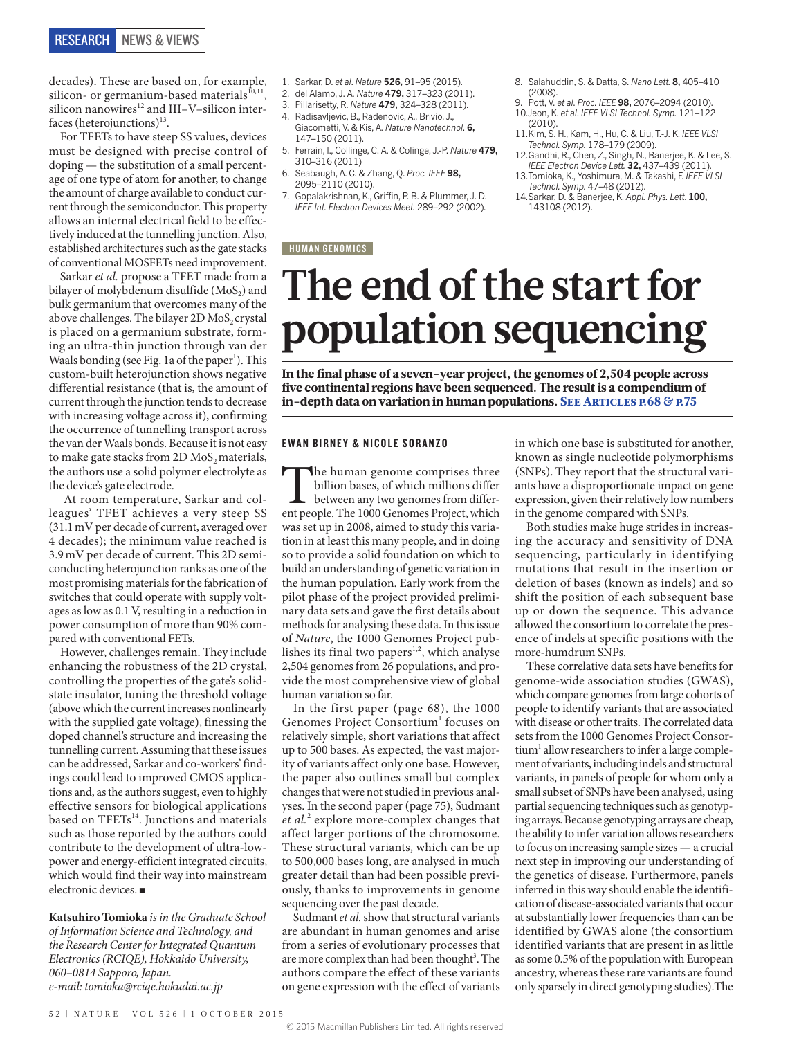decades). These are based on, for example, silicon- or germanium-based materials $^{10,11}$ , silicon nanowires $12$  and III–V–silicon interfaces (heterojunctions) $^{13}$ .

For TFETs to have steep SS values, devices must be designed with precise control of doping — the substitution of a small percentage of one type of atom for another, to change the amount of charge available to conduct current through the semiconductor. This property allows an internal electrical field to be effectively induced at the tunnelling junction. Also, established architectures such as the gate stacks of conventional MOSFETs need improvement.

Sarkar *et al.* propose a TFET made from a bilayer of molybdenum disulfide  $(MoS<sub>2</sub>)$  and bulk germaniumthat overcomes many of the above challenges. The bilayer 2D MoS<sub>2</sub> crystal is placed on a germanium substrate, forming an ultra-thin junction through van der Waals bonding (see Fig. 1a of the paper<sup>1</sup>). This custom-built heterojunction shows negative differential resistance (that is, the amount of current through the junction tends to decrease with increasing voltage across it), confirming the occurrence of tunnelling transport across the van der Waals bonds. Because it is not easy to make gate stacks from 2D MoS<sub>2</sub> materials, the authors use a solid polymer electrolyte as the device's gate electrode.

 At room temperature, Sarkar and colleagues' TFET achieves a very steep SS (31.1mV per decade of current, averaged over 4 decades); the minimum value reached is 3.9mV per decade of current. This 2D semiconducting heterojunction ranks as one of the most promising materials for the fabrication of switches that could operate with supply voltages as low as 0.1V, resulting in a reduction in power consumption of more than 90% compared with conventional FETs.

However, challenges remain. They include enhancing the robustness of the 2D crystal, controlling the properties of the gate's solidstate insulator, tuning the threshold voltage (above which the current increases nonlinearly with the supplied gate voltage), finessing the doped channel's structure and increasing the tunnelling current. Assuming that these issues can be addressed, Sarkar and co-workers' findings could lead to improved CMOS applications and, as the authors suggest, even to highly effective sensors for biological applications based on TFETs<sup>14</sup>. Junctions and materials such as those reported by the authors could contribute to the development of ultra-lowpower and energy-efficient integrated circuits, which would find their way into mainstream electronic devices. ■

**Katsuhiro Tomioka** *is in the Graduate School of Information Science and Technology, and the Research Center for Integrated Quantum Electronics (RCIQE), Hokkaido University, 060–0814 Sapporo, Japan. e-mail: tomioka@rciqe.hokudai.ac.jp*

- 1. Sarkar, D. *et al*. *Nature* **526,** 91–95 (2015).
- 2. del Alamo, J. A. *Nature* **479,** 317–323 (2011).
- 3. Pillarisetty, R. *Nature* **479,** 324–328 (2011).
- 4. Radisavljevic, B., Radenovic, A., Brivio, J.,
- Giacometti, V. & Kis, A. *Nature Nanotechnol*. **6,** 147–150 (2011).
- 5. Ferrain, I., Collinge, C. A. & Colinge, J.-P. *Nature* **479,** 310–316 (2011)
- 6. Seabaugh, A. C. & Zhang, Q. *Proc. IEEE* **98,** 2095–2110 (2010).
- 7. Gopalakrishnan, K., Griffin, P. B. & Plummer, J. D. *IEEE Int. Electron Devices Meet.* 289–292 (2002).

## **HUMAN GENOMICS**

- 8. Salahuddin, S. & Datta, S. *Nano Lett.* **8,** 405–410 (2008).
- 9. Pott, V. *et al*. *Proc. IEEE* **98,** 2076–2094 (2010). 10.Jeon, K. *et al*. *IEEE VLSI Technol. Symp.* 121–122 (2010).
- 11.Kim, S. H., Kam, H., Hu, C. & Liu, T.-J. K. *IEEE VLSI Technol. Symp.* 178–179 (2009).
- 12.Gandhi, R., Chen, Z., Singh, N., Banerjee, K. & Lee, S. *IEEE Electron Device Lett.* **32,** 437–439 (2011).
- 13.Tomioka, K., Yoshimura, M. & Takashi, F. *IEEE VLSI Technol. Symp.* 47–48 (2012).
- 14.Sarkar, D. & Banerjee, K. *Appl. Phys. Lett*. **100,** 143108 (2012).

## **The end of the start for population sequencing**

In the final phase of a seven-year project, the genomes of 2,504 people across five continental regions have been sequenced. The result is a compendium of in-depth data on variation in human populations. SEE ARTICLES  $P.68 \& P.75$ 

## EWAN BIRNEY & NICOLE SORANZO

The human genome comprises three billion bases, of which millions different people. The 1000 Genomes Project, which billion bases, of which millions differ between any two genomes from differwas set up in 2008, aimed to study this variation in at least this many people, and in doing so to provide a solid foundation on which to build an understanding of genetic variation in the human population. Early work from the pilot phase of the project provided preliminary data sets and gave the first details about methods for analysing these data. In this issue of *Nature*, the 1000 Genomes Project publishes its final two papers<sup>1,2</sup>, which analyse 2,504 genomes from 26 populations, and provide the most comprehensive view of global human variation so far.

In the first paper (page 68), the 1000 Genomes Project Consortium<sup>1</sup> focuses on relatively simple, short variations that affect up to 500 bases. As expected, the vast majority of variants affect only one base. However, the paper also outlines small but complex changes that were not studied in previous analyses. In the second paper (page 75), Sudmant *et al.*<sup>2</sup> explore more-complex changes that affect larger portions of the chromosome. These structural variants, which can be up to 500,000 bases long, are analysed in much greater detail than had been possible previously, thanks to improvements in genome sequencing over the past decade.

Sudmant *et al.* show that structural variants are abundant in human genomes and arise from a series of evolutionary processes that are more complex than had been thought<sup>3</sup>. The authors compare the effect of these variants on gene expression with the effect of variants

in which one base is substituted for another, known as single nucleotide polymorphisms (SNPs). They report that the structural variants have a disproportionate impact on gene expression, given their relatively low numbers in the genome compared with SNPs.

Both studies make huge strides in increasing the accuracy and sensitivity of DNA sequencing, particularly in identifying mutations that result in the insertion or deletion of bases (known as indels) and so shift the position of each subsequent base up or down the sequence. This advance allowed the consortium to correlate the presence of indels at specific positions with the more-humdrum SNPs.

These correlative data sets have benefits for genome-wide association studies (GWAS), which compare genomes from large cohorts of people to identify variants that are associated with disease or other traits. The correlated data sets from the 1000 Genomes Project Consortium<sup>1</sup> allow researchers to infer a large complement of variants, including indels and structural variants, in panels of people for whom only a small subset of SNPs have been analysed, using partial sequencing techniques such as genotyping arrays. Because genotyping arrays are cheap, the ability to infer variation allows researchers to focus on increasing sample sizes — a crucial next step in improving our understanding of the genetics of disease. Furthermore, panels inferred in this way should enable the identification of disease-associated variants that occur at substantially lower frequencies than can be identified by GWAS alone (the consortium identified variants that are present in as little as some 0.5% of the population with European ancestry, whereas these rare variants are found only sparsely in direct genotyping studies).The